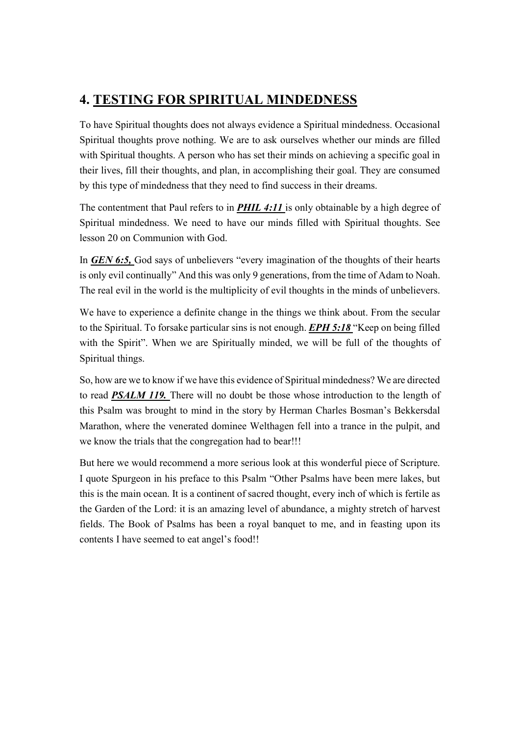## 4. TESTING FOR SPIRITUAL MINDEDNESS

To have Spiritual thoughts does not always evidence a Spiritual mindedness. Occasional Spiritual thoughts prove nothing. We are to ask ourselves whether our minds are filled with Spiritual thoughts. A person who has set their minds on achieving a specific goal in their lives, fill their thoughts, and plan, in accomplishing their goal. They are consumed by this type of mindedness that they need to find success in their dreams.

The contentment that Paul refers to in **PHIL 4:11** is only obtainable by a high degree of Spiritual mindedness. We need to have our minds filled with Spiritual thoughts. See lesson 20 on Communion with God.

In GEN 6:5, God says of unbelievers "every imagination of the thoughts of their hearts is only evil continually" And this was only 9 generations, from the time of Adam to Noah. The real evil in the world is the multiplicity of evil thoughts in the minds of unbelievers.

We have to experience a definite change in the things we think about. From the secular to the Spiritual. To forsake particular sins is not enough. **EPH 5:18** "Keep on being filled with the Spirit". When we are Spiritually minded, we will be full of the thoughts of Spiritual things.

So, how are we to know if we have this evidence of Spiritual mindedness? We are directed to read PSALM 119. There will no doubt be those whose introduction to the length of this Psalm was brought to mind in the story by Herman Charles Bosman's Bekkersdal Marathon, where the venerated dominee Welthagen fell into a trance in the pulpit, and we know the trials that the congregation had to bear!!!

But here we would recommend a more serious look at this wonderful piece of Scripture. I quote Spurgeon in his preface to this Psalm "Other Psalms have been mere lakes, but this is the main ocean. It is a continent of sacred thought, every inch of which is fertile as the Garden of the Lord: it is an amazing level of abundance, a mighty stretch of harvest fields. The Book of Psalms has been a royal banquet to me, and in feasting upon its contents I have seemed to eat angel's food!!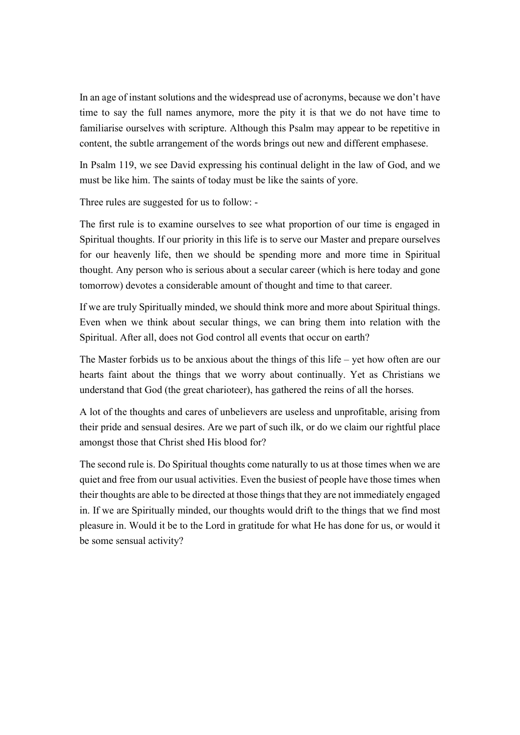In an age of instant solutions and the widespread use of acronyms, because we don't have time to say the full names anymore, more the pity it is that we do not have time to familiarise ourselves with scripture. Although this Psalm may appear to be repetitive in content, the subtle arrangement of the words brings out new and different emphasese.

In Psalm 119, we see David expressing his continual delight in the law of God, and we must be like him. The saints of today must be like the saints of yore.

Three rules are suggested for us to follow: -

The first rule is to examine ourselves to see what proportion of our time is engaged in Spiritual thoughts. If our priority in this life is to serve our Master and prepare ourselves for our heavenly life, then we should be spending more and more time in Spiritual thought. Any person who is serious about a secular career (which is here today and gone tomorrow) devotes a considerable amount of thought and time to that career.

If we are truly Spiritually minded, we should think more and more about Spiritual things. Even when we think about secular things, we can bring them into relation with the Spiritual. After all, does not God control all events that occur on earth?

The Master forbids us to be anxious about the things of this life – yet how often are our hearts faint about the things that we worry about continually. Yet as Christians we understand that God (the great charioteer), has gathered the reins of all the horses.

A lot of the thoughts and cares of unbelievers are useless and unprofitable, arising from their pride and sensual desires. Are we part of such ilk, or do we claim our rightful place amongst those that Christ shed His blood for?

The second rule is. Do Spiritual thoughts come naturally to us at those times when we are quiet and free from our usual activities. Even the busiest of people have those times when their thoughts are able to be directed at those things that they are not immediately engaged in. If we are Spiritually minded, our thoughts would drift to the things that we find most pleasure in. Would it be to the Lord in gratitude for what He has done for us, or would it be some sensual activity?